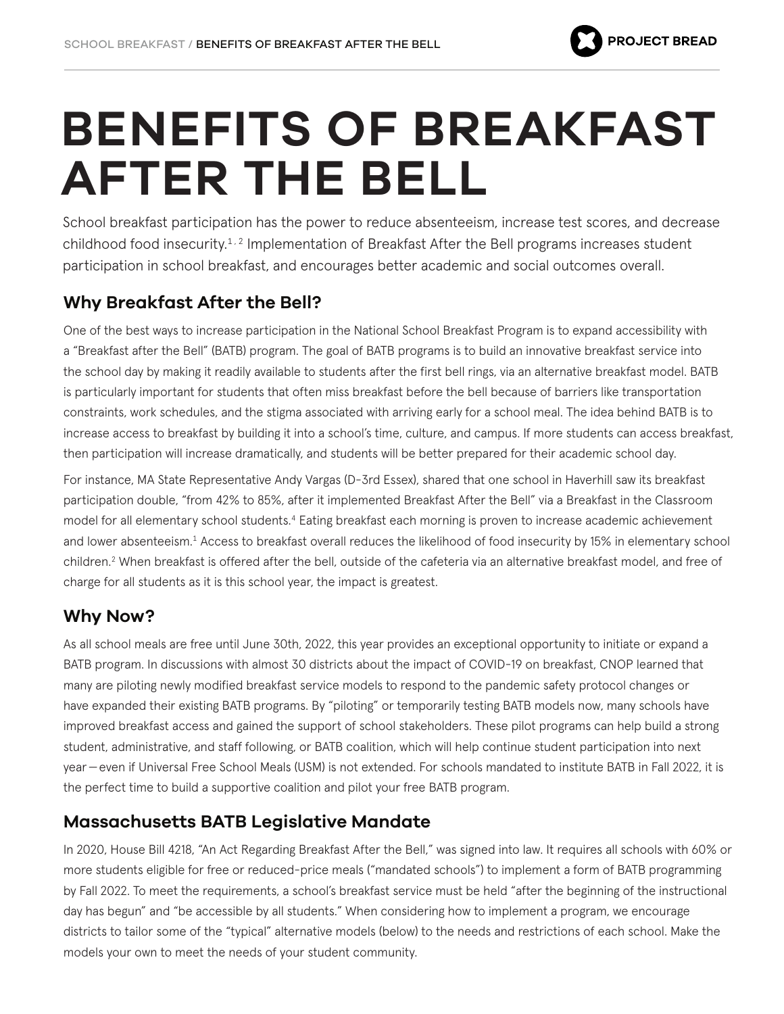

# **BENEFITS OF BREAKFAST AFTER THE BELL**

School breakfast participation has the power to reduce absenteeism, increase test scores, and decrease childhood food insecurity.<sup>1,2</sup> Implementation of Breakfast After the Bell programs increases student participation in school breakfast, and encourages better academic and social outcomes overall.

# **Why Breakfast After the Bell?**

One of the best ways to increase participation in the National School Breakfast Program is to expand accessibility with a "Breakfast after the Bell" (BATB) program. The goal of BATB programs is to build an innovative breakfast service into the school day by making it readily available to students after the first bell rings, via an alternative breakfast model. BATB is particularly important for students that often miss breakfast before the bell because of barriers like transportation constraints, work schedules, and the stigma associated with arriving early for a school meal. The idea behind BATB is to increase access to breakfast by building it into a school's time, culture, and campus. If more students can access breakfast, then participation will increase dramatically, and students will be better prepared for their academic school day.

For instance, MA State Representative Andy Vargas (D-3rd Essex), shared that one school in Haverhill saw its breakfast participation double, "from 42% to 85%, after it implemented Breakfast After the Bell" via a Breakfast in the Classroom model for all elementary school students.4 Eating breakfast each morning is proven to increase academic achievement and lower absenteeism.1 Access to breakfast overall reduces the likelihood of food insecurity by 15% in elementary school children.2 When breakfast is offered after the bell, outside of the cafeteria via an alternative breakfast model, and free of charge for all students as it is this school year, the impact is greatest.

# **Why Now?**

As all school meals are free until June 30th, 2022, this year provides an exceptional opportunity to initiate or expand a BATB program. In discussions with almost 30 districts about the impact of COVID-19 on breakfast, CNOP learned that many are piloting newly modified breakfast service models to respond to the pandemic safety protocol changes or have expanded their existing BATB programs. By "piloting" or temporarily testing BATB models now, many schools have improved breakfast access and gained the support of school stakeholders. These pilot programs can help build a strong student, administrative, and staff following, or BATB coalition, which will help continue student participation into next year—even if Universal Free School Meals (USM) is not extended. For schools mandated to institute BATB in Fall 2022, it is the perfect time to build a supportive coalition and pilot your free BATB program.

# **Massachusetts BATB Legislative Mandate**

In 2020, House Bill 4218, "An Act Regarding Breakfast After the Bell," was signed into law. It requires all schools with 60% or more students eligible for free or reduced-price meals ("mandated schools") to implement a form of BATB programming by Fall 2022. To meet the requirements, a school's breakfast service must be held "after the beginning of the instructional day has begun" and "be accessible by all students." When considering how to implement a program, we encourage districts to tailor some of the "typical" alternative models (below) to the needs and restrictions of each school. Make the models your own to meet the needs of your student community.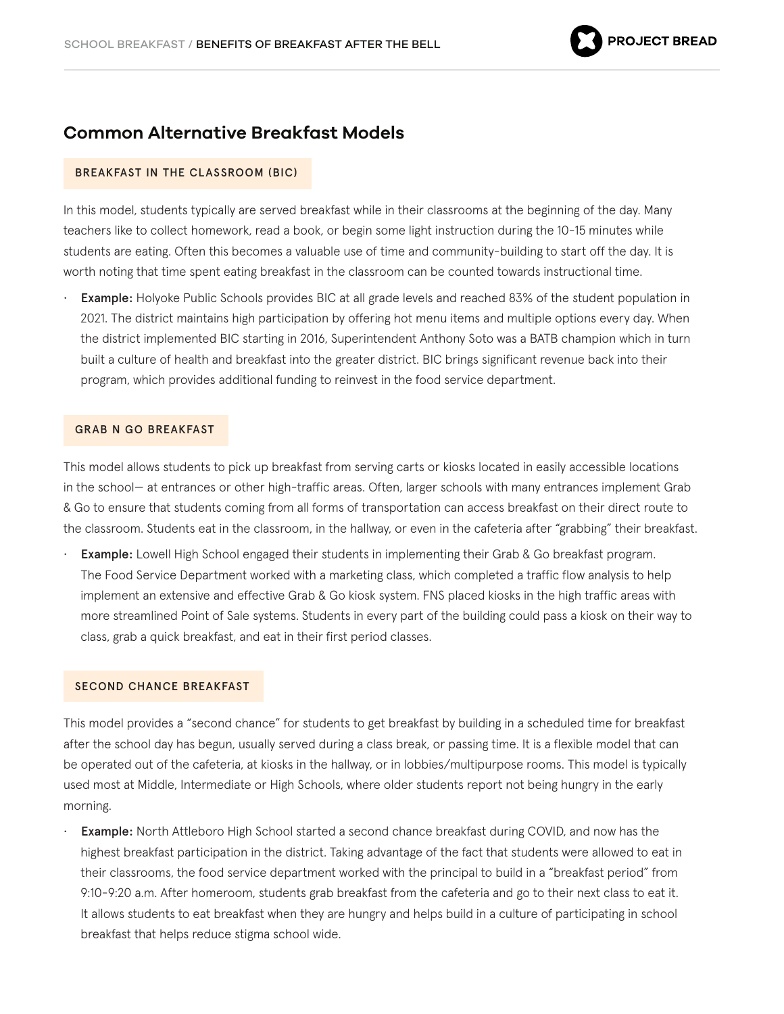### **Common Alternative Breakfast Models**

#### BREAKFAST IN THE CLASSROOM (BIC)

In this model, students typically are served breakfast while in their classrooms at the beginning of the day. Many teachers like to collect homework, read a book, or begin some light instruction during the 10-15 minutes while students are eating. Often this becomes a valuable use of time and community-building to start off the day. It is worth noting that time spent eating breakfast in the classroom can be counted towards instructional time.

• Example: Holyoke Public Schools provides BIC at all grade levels and reached 83% of the student population in 2021. The district maintains high participation by offering hot menu items and multiple options every day. When the district implemented BIC starting in 2016, Superintendent Anthony Soto was a BATB champion which in turn built a culture of health and breakfast into the greater district. BIC brings significant revenue back into their program, which provides additional funding to reinvest in the food service department.

#### GRAB N GO BREAKFAST

This model allows students to pick up breakfast from serving carts or kiosks located in easily accessible locations in the school— at entrances or other high-traffic areas. Often, larger schools with many entrances implement Grab & Go to ensure that students coming from all forms of transportation can access breakfast on their direct route to the classroom. Students eat in the classroom, in the hallway, or even in the cafeteria after "grabbing" their breakfast.

**Example:** Lowell High School engaged their students in implementing their Grab & Go breakfast program. The Food Service Department worked with a marketing class, which completed a traffic flow analysis to help implement an extensive and effective Grab & Go kiosk system. FNS placed kiosks in the high traffic areas with more streamlined Point of Sale systems. Students in every part of the building could pass a kiosk on their way to class, grab a quick breakfast, and eat in their first period classes.

#### SECOND CHANCE BREAKFAST

This model provides a "second chance" for students to get breakfast by building in a scheduled time for breakfast after the school day has begun, usually served during a class break, or passing time. It is a flexible model that can be operated out of the cafeteria, at kiosks in the hallway, or in lobbies/multipurpose rooms. This model is typically used most at Middle, Intermediate or High Schools, where older students report not being hungry in the early morning.

**Example:** North Attleboro High School started a second chance breakfast during COVID, and now has the highest breakfast participation in the district. Taking advantage of the fact that students were allowed to eat in their classrooms, the food service department worked with the principal to build in a "breakfast period" from 9:10-9:20 a.m. After homeroom, students grab breakfast from the cafeteria and go to their next class to eat it. It allows students to eat breakfast when they are hungry and helps build in a culture of participating in school breakfast that helps reduce stigma school wide.